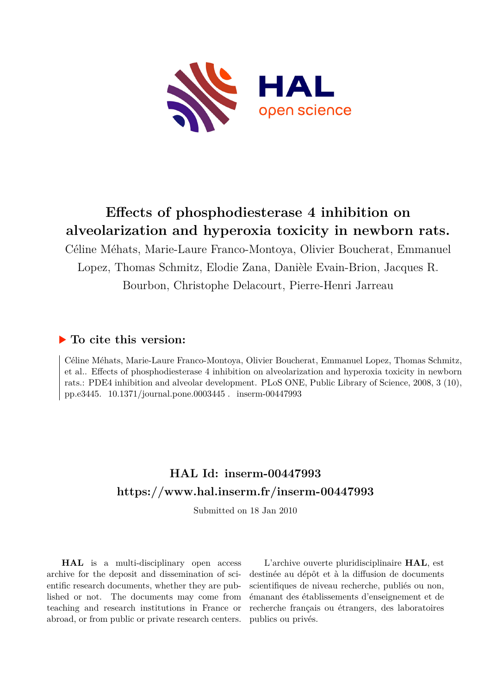

## **Effects of phosphodiesterase 4 inhibition on alveolarization and hyperoxia toxicity in newborn rats.**

Céline Méhats, Marie-Laure Franco-Montoya, Olivier Boucherat, Emmanuel Lopez, Thomas Schmitz, Elodie Zana, Danièle Evain-Brion, Jacques R. Bourbon, Christophe Delacourt, Pierre-Henri Jarreau

## **To cite this version:**

Céline Méhats, Marie-Laure Franco-Montoya, Olivier Boucherat, Emmanuel Lopez, Thomas Schmitz, et al.. Effects of phosphodiesterase 4 inhibition on alveolarization and hyperoxia toxicity in newborn rats.: PDE4 inhibition and alveolar development. PLoS ONE, Public Library of Science, 2008, 3 (10), pp.e3445.  $10.1371$ /journal.pone.0003445. inserm-00447993

## **HAL Id: inserm-00447993 <https://www.hal.inserm.fr/inserm-00447993>**

Submitted on 18 Jan 2010

**HAL** is a multi-disciplinary open access archive for the deposit and dissemination of scientific research documents, whether they are published or not. The documents may come from teaching and research institutions in France or abroad, or from public or private research centers.

L'archive ouverte pluridisciplinaire **HAL**, est destinée au dépôt et à la diffusion de documents scientifiques de niveau recherche, publiés ou non, émanant des établissements d'enseignement et de recherche français ou étrangers, des laboratoires publics ou privés.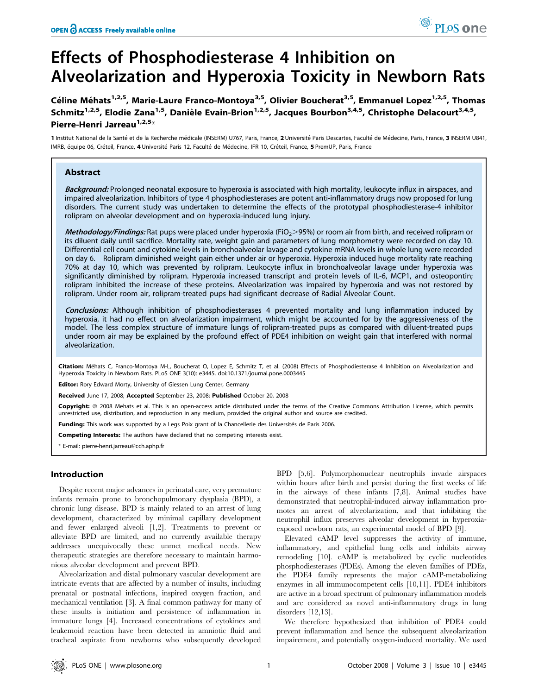# Effects of Phosphodiesterase 4 Inhibition on Alveolarization and Hyperoxia Toxicity in Newborn Rats

Céline Méhats<sup>1,2,5</sup>, Marie-Laure Franco-Montoya<sup>3,5</sup>, Olivier Boucherat<sup>3,5</sup>, Emmanuel Lopez<sup>1,2,5</sup>, Thomas Schmitz<sup>1,2,5</sup>, Elodie Zana<sup>1,5</sup>, Danièle Evain-Brion<sup>1,2,5</sup>, Jacques Bourbon<sup>3,4,5</sup>, Christophe Delacourt<sup>3,4,5</sup>, Pierre-Henri Jarreau<sup>1,2,5</sup>\*

1 Institut National de la Santé et de la Recherche médicale (INSERM) U767, Paris, France, 2 Université Paris Descartes, Faculté de Médecine, Paris, France, 3 INSERM U841, IMRB, équipe 06, Créteil, France, 4 Université Paris 12, Faculté de Médecine, IFR 10, Créteil, France, 5 PremUP, Paris, France

## Abstract

Background: Prolonged neonatal exposure to hyperoxia is associated with high mortality, leukocyte influx in airspaces, and impaired alveolarization. Inhibitors of type 4 phosphodiesterases are potent anti-inflammatory drugs now proposed for lung disorders. The current study was undertaken to determine the effects of the prototypal phosphodiesterase-4 inhibitor rolipram on alveolar development and on hyperoxia-induced lung injury.

Methodology/Findings: Rat pups were placed under hyperoxia (FiO<sub>2</sub>>95%) or room air from birth, and received rolipram or its diluent daily until sacrifice. Mortality rate, weight gain and parameters of lung morphometry were recorded on day 10. Differential cell count and cytokine levels in bronchoalveolar lavage and cytokine mRNA levels in whole lung were recorded on day 6. Rolipram diminished weight gain either under air or hyperoxia. Hyperoxia induced huge mortality rate reaching 70% at day 10, which was prevented by rolipram. Leukocyte influx in bronchoalveolar lavage under hyperoxia was significantly diminished by rolipram. Hyperoxia increased transcript and protein levels of IL-6, MCP1, and osteopontin; rolipram inhibited the increase of these proteins. Alveolarization was impaired by hyperoxia and was not restored by rolipram. Under room air, rolipram-treated pups had significant decrease of Radial Alveolar Count.

Conclusions: Although inhibition of phosphodiesterases 4 prevented mortality and lung inflammation induced by hyperoxia, it had no effect on alveolarization impairment, which might be accounted for by the aggressiveness of the model. The less complex structure of immature lungs of rolipram-treated pups as compared with diluent-treated pups under room air may be explained by the profound effect of PDE4 inhibition on weight gain that interfered with normal alveolarization.

Citation: Méhats C, Franco-Montoya M-L, Boucherat O, Lopez E, Schmitz T, et al. (2008) Effects of Phosphodiesterase 4 Inhibition on Alveolarization and Hyperoxia Toxicity in Newborn Rats. PLoS ONE 3(10): e3445. doi:10.1371/journal.pone.0003445

Editor: Rory Edward Morty, University of Giessen Lung Center, Germany

Received June 17, 2008; Accepted September 23, 2008; Published October 20, 2008

Copyright: © 2008 Mehats et al. This is an open-access article distributed under the terms of the Creative Commons Attribution License, which permits unrestricted use, distribution, and reproduction in any medium, provided the original author and source are credited.

Funding: This work was supported by a Legs Poix grant of la Chancellerie des Universités de Paris 2006.

Competing Interests: The authors have declared that no competing interests exist.

\* E-mail: pierre-henri.jarreau@cch.aphp.fr

### Introduction

Despite recent major advances in perinatal care, very premature infants remain prone to bronchopulmonary dysplasia (BPD), a chronic lung disease. BPD is mainly related to an arrest of lung development, characterized by minimal capillary development and fewer enlarged alveoli [1,2]. Treatments to prevent or alleviate BPD are limited, and no currently available therapy addresses unequivocally these unmet medical needs. New therapeutic strategies are therefore necessary to maintain harmonious alveolar development and prevent BPD.

Alveolarization and distal pulmonary vascular development are intricate events that are affected by a number of insults, including prenatal or postnatal infections, inspired oxygen fraction, and mechanical ventilation [3]. A final common pathway for many of these insults is initiation and persistence of inflammation in immature lungs [4]. Increased concentrations of cytokines and leukemoid reaction have been detected in amniotic fluid and tracheal aspirate from newborns who subsequently developed

BPD [5,6]. Polymorphonuclear neutrophils invade airspaces within hours after birth and persist during the first weeks of life in the airways of these infants [7,8]. Animal studies have demonstrated that neutrophil-induced airway inflammation promotes an arrest of alveolarization, and that inhibiting the neutrophil influx preserves alveolar development in hyperoxiaexposed newborn rats, an experimental model of BPD [9].

Elevated cAMP level suppresses the activity of immune, inflammatory, and epithelial lung cells and inhibits airway remodeling [10]. cAMP is metabolized by cyclic nucleotides phosphodiesterases (PDEs). Among the eleven families of PDEs, the PDE4 family represents the major cAMP-metabolizing enzymes in all immunocompetent cells [10,11]. PDE4 inhibitors are active in a broad spectrum of pulmonary inflammation models and are considered as novel anti-inflammatory drugs in lung disorders [12,13].

We therefore hypothesized that inhibition of PDE4 could prevent inflammation and hence the subsequent alveolarization impairement, and potentially oxygen-induced mortality. We used

PLoS one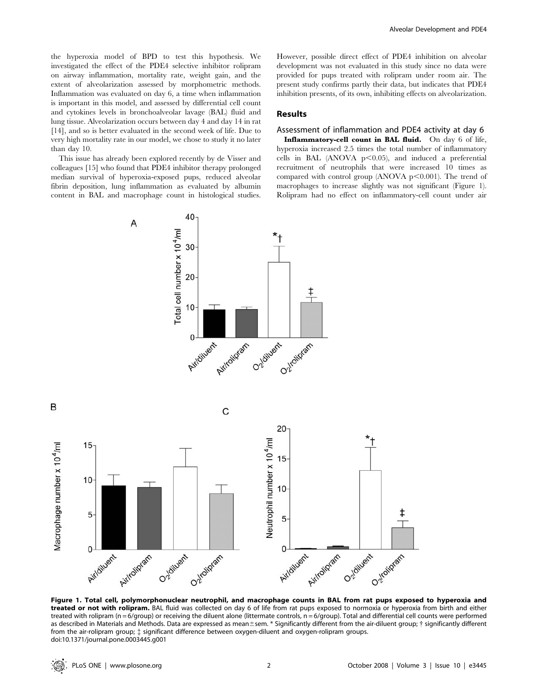the hyperoxia model of BPD to test this hypothesis. We investigated the effect of the PDE4 selective inhibitor rolipram on airway inflammation, mortality rate, weight gain, and the extent of alveolarization assessed by morphometric methods. Inflammation was evaluated on day 6, a time when inflammation is important in this model, and assessed by differential cell count and cytokines levels in bronchoalveolar lavage (BAL) fluid and lung tissue. Alveolarization occurs between day 4 and day 14 in rat [14], and so is better evaluated in the second week of life. Due to very high mortality rate in our model, we chose to study it no later than day 10.

This issue has already been explored recently by de Visser and colleagues [15] who found that PDE4 inhibitor therapy prolonged median survival of hyperoxia-exposed pups, reduced alveolar fibrin deposition, lung inflammation as evaluated by albumin content in BAL and macrophage count in histological studies.

However, possible direct effect of PDE4 inhibition on alveolar development was not evaluated in this study since no data were provided for pups treated with rolipram under room air. The present study confirms partly their data, but indicates that PDE4 inhibition presents, of its own, inhibiting effects on alveolarization.

## Results

## Assessment of inflammation and PDE4 activity at day 6

Inflammatory-cell count in BAL fluid. On day 6 of life, hyperoxia increased 2.5 times the total number of inflammatory cells in BAL (ANOVA  $p<0.05$ ), and induced a preferential recruitment of neutrophils that were increased 10 times as compared with control group (ANOVA  $p$ <0.001). The trend of macrophages to increase slightly was not significant (Figure 1). Rolipram had no effect on inflammatory-cell count under air



Figure 1. Total cell, polymorphonuclear neutrophil, and macrophage counts in BAL from rat pups exposed to hyperoxia and treated or not with rolipram. BAL fluid was collected on day 6 of life from rat pups exposed to normoxia or hyperoxia from birth and either treated with rolipram (n = 6/group) or receiving the diluent alone (littermate controls,  $n = 6/$ group). Total and differential cell counts were performed as described in Materials and Methods. Data are expressed as mean±sem. \* Significantly different from the air-diluent group; † significantly different from the air-rolipram group; { significant difference between oxygen-diluent and oxygen-rolipram groups. doi:10.1371/journal.pone.0003445.g001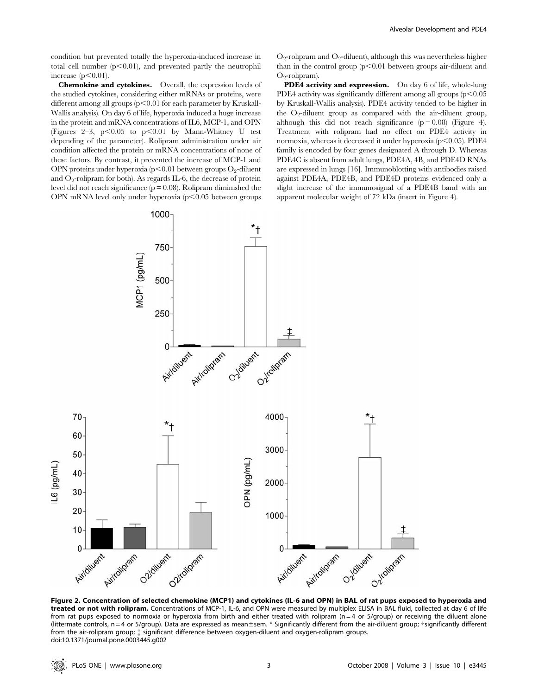condition but prevented totally the hyperoxia-induced increase in total cell number  $(p<0.01)$ , and prevented partly the neutrophil increase  $(p<0.01)$ .

Chemokine and cytokines. Overall, the expression levels of the studied cytokines, considering either mRNAs or proteins, were different among all groups  $(p<0.01$  for each parameter by Kruskall-Wallis analysis). On day 6 of life, hyperoxia induced a huge increase in the protein and mRNA concentrations of IL6, MCP-1, and OPN (Figures 2–3,  $p<0.05$  to  $p<0.01$  by Mann-Whitney U test depending of the parameter). Rolipram administration under air condition affected the protein or mRNA concentrations of none of these factors. By contrast, it prevented the increase of MCP-1 and OPN proteins under hyperoxia ( $p<0.01$  between groups O<sub>2</sub>-diluent and  $O_2$ -rolipram for both). As regards IL-6, the decrease of protein level did not reach significance ( $p = 0.08$ ). Rolipram diminished the OPN mRNA level only under hyperoxia  $(p<0.05$  between groups  $O_2$ -rolipram and  $O_2$ -diluent), although this was nevertheless higher than in the control group  $(p<0.01)$  between groups air-diluent and  $O<sub>2</sub>-relinram)$ .

PDE4 activity and expression. On day 6 of life, whole-lung PDE4 activity was significantly different among all groups  $(p<0.05$ by Kruskall-Wallis analysis). PDE4 activity tended to be higher in the  $O_2$ -diluent group as compared with the air-diluent group, although this did not reach significance  $(p = 0.08)$  (Figure 4). Treatment with rolipram had no effect on PDE4 activity in normoxia, whereas it decreased it under hyperoxia  $(p<0.05)$ . PDE4 family is encoded by four genes designated A through D. Whereas PDE4C is absent from adult lungs, PDE4A, 4B, and PDE4D RNAs are expressed in lungs [16]. Immunoblotting with antibodies raised against PDE4A, PDE4B, and PDE4D proteins evidenced only a slight increase of the immunosignal of a PDE4B band with an apparent molecular weight of 72 kDa (insert in Figure 4).



Figure 2. Concentration of selected chemokine (MCP1) and cytokines (IL-6 and OPN) in BAL of rat pups exposed to hyperoxia and treated or not with rolipram. Concentrations of MCP-1, IL-6, and OPN were measured by multiplex ELISA in BAL fluid, collected at day 6 of life from rat pups exposed to normoxia or hyperoxia from birth and either treated with rolipram ( $n = 4$  or  $5/q$ roup) or receiving the diluent alone (littermate controls,  $n = 4$  or 5/group). Data are expressed as mean $\pm$ sem. \* Significantly different from the air-diluent group;  $\dagger$ significantly different from the air-rolipram group; { significant difference between oxygen-diluent and oxygen-rolipram groups. doi:10.1371/journal.pone.0003445.g002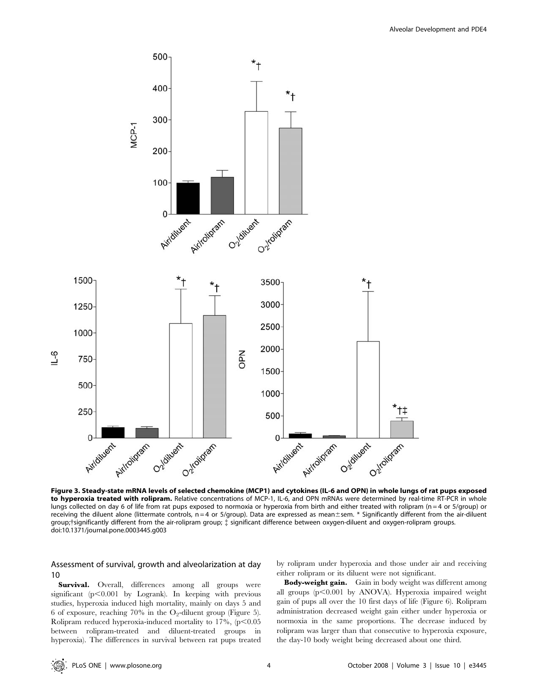

Figure 3. Steady-state mRNA levels of selected chemokine (MCP1) and cytokines (IL-6 and OPN) in whole lungs of rat pups exposed to hyperoxia treated with rolipram. Relative concentrations of MCP-1, IL-6, and OPN mRNAs were determined by real-time RT-PCR in whole lungs collected on day 6 of life from rat pups exposed to normoxia or hyperoxia from birth and either treated with rolipram (n = 4 or 5/group) or receiving the diluent alone (littermate controls,  $n = 4$  or 5/group). Data are expressed as mean $\pm$ sem.  $*$  Significantly different from the air-diluent group;{significantly different from the air-rolipram group; { significant difference between oxygen-diluent and oxygen-rolipram groups. doi:10.1371/journal.pone.0003445.g003

## Assessment of survival, growth and alveolarization at day 10

Survival. Overall, differences among all groups were significant  $(p<0.001$  by Logrank). In keeping with previous studies, hyperoxia induced high mortality, mainly on days 5 and 6 of exposure, reaching 70% in the  $O_2$ -diluent group (Figure 5). Rolipram reduced hyperoxia-induced mortality to  $17\%$ , (p $\leq 0.05$ ) between rolipram-treated and diluent-treated groups in hyperoxia). The differences in survival between rat pups treated by rolipram under hyperoxia and those under air and receiving either rolipram or its diluent were not significant.

Body-weight gain. Gain in body weight was different among all groups  $(p<0.001$  by ANOVA). Hyperoxia impaired weight gain of pups all over the 10 first days of life (Figure 6). Rolipram administration decreased weight gain either under hyperoxia or normoxia in the same proportions. The decrease induced by rolipram was larger than that consecutive to hyperoxia exposure, the day-10 body weight being decreased about one third.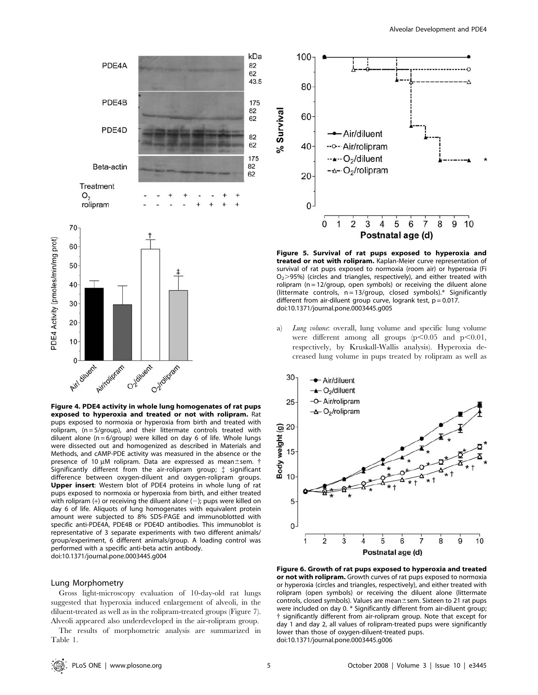

Figure 4. PDE4 activity in whole lung homogenates of rat pups exposed to hyperoxia and treated or not with rolipram. Rat pups exposed to normoxia or hyperoxia from birth and treated with rolipram,  $(n = 5/group)$ , and their littermate controls treated with diluent alone ( $n = 6$ /group) were killed on day 6 of life. Whole lungs were dissected out and homogenized as described in Materials and Methods, and cAMP-PDE activity was measured in the absence or the presence of 10  $\mu$ M rolipram. Data are expressed as mean $\pm$ sem.  $\dagger$ Significantly different from the air-rolipram group; { significant difference between oxygen-diluent and oxygen-rolipram groups. Upper insert: Western blot of PDE4 proteins in whole lung of rat pups exposed to normoxia or hyperoxia from birth, and either treated with rolipram  $(+)$  or receiving the diluent alone  $(-)$ ; pups were killed on day 6 of life. Aliquots of lung homogenates with equivalent protein amount were subjected to 8% SDS-PAGE and immunoblotted with specific anti-PDE4A, PDE4B or PDE4D antibodies. This immunoblot is representative of 3 separate experiments with two different animals/ group/experiment, 6 different animals/group. A loading control was performed with a specific anti-beta actin antibody. doi:10.1371/journal.pone.0003445.g004

#### Lung Morphometry

Gross light-microscopy evaluation of 10-day-old rat lungs suggested that hyperoxia induced enlargement of alveoli, in the diluent-treated as well as in the rolipram-treated groups (Figure 7). Alveoli appeared also underdeveloped in the air-rolipram group.

The results of morphometric analysis are summarized in Table 1.



Figure 5. Survival of rat pups exposed to hyperoxia and treated or not with rolipram. Kaplan-Meier curve representation of survival of rat pups exposed to normoxia (room air) or hyperoxia (Fi  $O<sub>2</sub>$  $>$ 95%) (circles and triangles, respectively), and either treated with rolipram ( $n = 12$ /group, open symbols) or receiving the diluent alone (littermate controls, n = 13/group, closed symbols).\* Significantly different from air-diluent group curve, logrank test,  $p = 0.017$ . doi:10.1371/journal.pone.0003445.g005

a) Lung volume: overall, lung volume and specific lung volume were different among all groups  $(p<0.05$  and  $p<0.01$ , respectively, by Kruskall-Wallis analysis). Hyperoxia decreased lung volume in pups treated by rolipram as well as



Figure 6. Growth of rat pups exposed to hyperoxia and treated or not with rolipram. Growth curves of rat pups exposed to normoxia or hyperoxia (circles and triangles, respectively), and either treated with rolipram (open symbols) or receiving the diluent alone (littermate controls, closed symbols). Values are mean $\pm$ sem. Sixteen to 21 rat pups were included on day 0. \* Significantly different from air-diluent group; { significantly different from air-rolipram group. Note that except for day 1 and day 2, all values of rolipram-treated pups were significantly lower than those of oxygen-diluent-treated pups. doi:10.1371/journal.pone.0003445.g006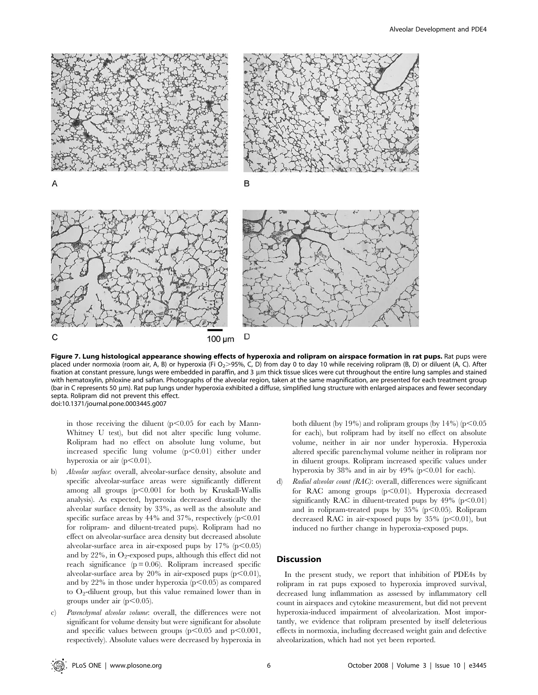

Figure 7. Lung histological appearance showing effects of hyperoxia and rolipram on airspace formation in rat pups. Rat pups were placed under normoxia (room air, A, B) or hyperoxia (Fi O<sub>2</sub>>95%, C, D) from day 0 to day 10 while receiving rolipram (B, D) or diluent (A, C). After fixation at constant pressure, lungs were embedded in paraffin, and 3 µm thick tissue slices were cut throughout the entire lung samples and stained with hematoxylin, phloxine and safran. Photographs of the alveolar region, taken at the same magnification, are presented for each treatment group (bar in C represents 50 µm). Rat pup lungs under hyperoxia exhibited a diffuse, simplified lung structure with enlarged airspaces and fewer secondary septa. Rolipram did not prevent this effect. doi:10.1371/journal.pone.0003445.g007

in those receiving the diluent  $(p<0.05$  for each by Mann-Whitney U test), but did not alter specific lung volume. Rolipram had no effect on absolute lung volume, but increased specific lung volume  $(p<0.01)$  either under hyperoxia or air  $(p<0.01)$ .

- b) Alveolar surface: overall, alveolar-surface density, absolute and specific alveolar-surface areas were significantly different among all groups  $(p<0.001$  for both by Kruskall-Wallis analysis). As expected, hyperoxia decreased drastically the alveolar surface density by 33%, as well as the absolute and specific surface areas by  $44\%$  and  $37\%$ , respectively ( $p<0.01$ ) for rolipram- and diluent-treated pups). Rolipram had no effect on alveolar-surface area density but decreased absolute alveolar-surface area in air-exposed pups by  $17\%$  (p $\leq 0.05$ ) and by  $22\%$ , in O<sub>2</sub>-exposed pups, although this effect did not reach significance  $(p = 0.06)$ . Rolipram increased specific alveolar-surface area by  $20\%$  in air-exposed pups (p $\leq 0.01$ ), and by 22% in those under hyperoxia ( $p$ <0.05) as compared to  $O_2$ -diluent group, but this value remained lower than in groups under air  $(p<0.05)$ .
- c) Parenchymal alveolar volume: overall, the differences were not significant for volume density but were significant for absolute and specific values between groups ( $p<0.05$  and  $p<0.001$ , respectively). Absolute values were decreased by hyperoxia in

both diluent (by 19%) and rolipram groups (by  $14\%$ ) (p $\leq 0.05$ ) for each), but rolipram had by itself no effect on absolute volume, neither in air nor under hyperoxia. Hyperoxia altered specific parenchymal volume neither in rolipram nor in diluent groups. Rolipram increased specific values under hyperoxia by  $38\%$  and in air by  $49\%$  (p $\leq 0.01$  for each).

d) Radial alveolar count (RAC): overall, differences were significant for RAC among groups  $(p<0.01)$ . Hyperoxia decreased significantly RAC in diluent-treated pups by  $49\%$  (p $\leq 0.01$ ) and in rolipram-treated pups by  $35\%$  (p $\leq 0.05$ ). Rolipram decreased RAC in air-exposed pups by  $35\%$  (p $\leq 0.01$ ), but induced no further change in hyperoxia-exposed pups.

## **Discussion**

In the present study, we report that inhibition of PDE4s by rolipram in rat pups exposed to hyperoxia improved survival, decreased lung inflammation as assessed by inflammatory cell count in airspaces and cytokine measurement, but did not prevent hyperoxia-induced impairment of alveolarization. Most importantly, we evidence that rolipram presented by itself deleterious effects in normoxia, including decreased weight gain and defective alveolarization, which had not yet been reported.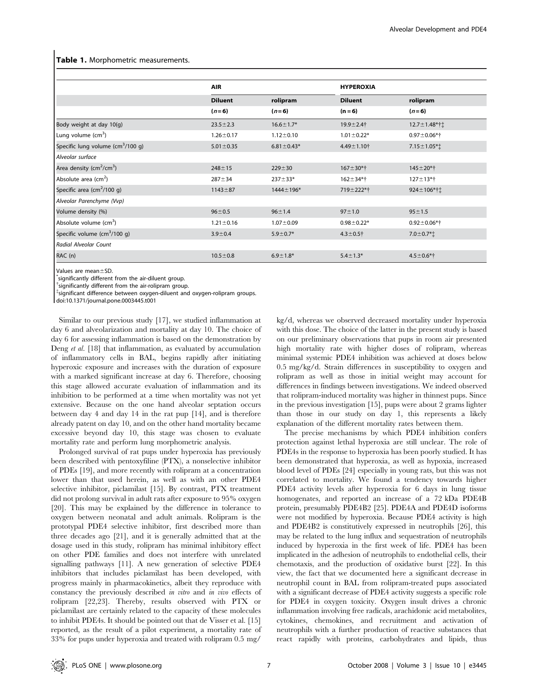#### Table 1. Morphometric measurements.

|                                               | <b>AIR</b>      |                  | <b>HYPEROXIA</b>  |                    |
|-----------------------------------------------|-----------------|------------------|-------------------|--------------------|
|                                               | <b>Diluent</b>  | rolipram         | <b>Diluent</b>    | rolipram           |
|                                               | $(n=6)$         | $(n=6)$          | $(n = 6)$         | $(n=6)$            |
| Body weight at day 10(g)                      | $23.5 \pm 2.3$  | $16.6 \pm 1.7*$  | $19.9 + 2.4$ †    | 12.7±1.48*†‡       |
| Lung volume (cm <sup>3</sup> )                | $1.26 \pm 0.17$ | $1.12 \pm 0.10$  | $1.01 \pm 0.22*$  | $0.97 \pm 0.06*$ † |
| Specific lung volume $(cm3/100 g)$            | $5.01 \pm 0.35$ | $6.81 \pm 0.43*$ | $4.49 \pm 1.10$ † | $7.15 \pm 1.05$ *† |
| Alveolar surface                              |                 |                  |                   |                    |
| Area density ( $\text{cm}^2/\text{cm}^3$ )    | $248 \pm 15$    | $229 + 30$       | $167 + 30*$       | $145 \pm 20$ *†    |
| Absolute area (cm <sup>2</sup> )              | $287 + 34$      | $237 + 33*$      | $162 + 34*$ †     | $127 + 13*$        |
| Specific area (cm <sup>2</sup> /100 q)        | $1143 + 87$     | $1444 \pm 196*$  | 719±222*†         | 924±106*†±         |
| Alveolar Parenchyme (Vvp)                     |                 |                  |                   |                    |
| Volume density (%)                            | $96 + 0.5$      | $96 + 1.4$       | $97 + 1.0$        | $95 \pm 1.5$       |
| Absolute volume (cm <sup>3</sup> )            | $1.21 \pm 0.16$ | $1.07 \pm 0.09$  | $0.98 \pm 0.22*$  | $0.92 \pm 0.06*$ † |
| Specific volume $\text{(cm}^3/100 \text{ q)}$ | $3.9 \pm 0.4$   | $5.9 \pm 0.7*$   | $4.3 \pm 0.5$ †   | $7.0 \pm 0.7$ *†   |
| Radial Alveolar Count                         |                 |                  |                   |                    |
| RAC (n)                                       | $10.5 \pm 0.8$  | $6.9 \pm 1.8*$   | $5.4 \pm 1.3*$    | $4.5 \pm 0.6$ *†   |

Values are mean $\pm$ SD.

significantly different from the air-diluent group.

 $\dagger$ significantly different from the air-rolipram group.

{ significant difference between oxygen-diluent and oxygen-rolipram groups.

doi:10.1371/journal.pone.0003445.t001

Similar to our previous study [17], we studied inflammation at day 6 and alveolarization and mortality at day 10. The choice of day 6 for assessing inflammation is based on the demonstration by Deng et al. [18] that inflammation, as evaluated by accumulation of inflammatory cells in BAL, begins rapidly after initiating hyperoxic exposure and increases with the duration of exposure with a marked significant increase at day 6. Therefore, choosing this stage allowed accurate evaluation of inflammation and its inhibition to be performed at a time when mortality was not yet extensive. Because on the one hand alveolar septation occurs between day 4 and day 14 in the rat pup [14], and is therefore already patent on day 10, and on the other hand mortality became excessive beyond day 10, this stage was chosen to evaluate mortality rate and perform lung morphometric analysis.

Prolonged survival of rat pups under hyperoxia has previously been described with pentoxyfiline (PTX), a nonselective inhibitor of PDEs [19], and more recently with rolipram at a concentration lower than that used herein, as well as with an other PDE4 selective inhibitor, piclamilast [15]. By contrast, PTX treatment did not prolong survival in adult rats after exposure to 95% oxygen [20]. This may be explained by the difference in tolerance to oxygen between neonatal and adult animals. Rolipram is the prototypal PDE4 selective inhibitor, first described more than three decades ago [21], and it is generally admitted that at the dosage used in this study, rolipram has minimal inhibitory effect on other PDE families and does not interfere with unrelated signalling pathways [11]. A new generation of selective PDE4 inhibitors that includes piclamilast has been developed, with progress mainly in pharmacokinetics, albeit they reproduce with constancy the previously described in vitro and in vivo effects of rolipram [22,23]. Thereby, results observed with PTX or piclamilast are certainly related to the capacity of these molecules to inhibit PDE4s. It should be pointed out that de Visser et al. [15] reported, as the result of a pilot experiment, a mortality rate of 33% for pups under hyperoxia and treated with rolipram 0.5 mg/

kg/d, whereas we observed decreased mortality under hyperoxia with this dose. The choice of the latter in the present study is based on our preliminary observations that pups in room air presented high mortality rate with higher doses of rolipram, whereas minimal systemic PDE4 inhibition was achieved at doses below 0.5 mg/kg/d. Strain differences in susceptibility to oxygen and rolipram as well as those in initial weight may account for differences in findings between investigations. We indeed observed that rolipram-induced mortality was higher in thinnest pups. Since in the previous investigation [15], pups were about 2 grams lighter than those in our study on day 1, this represents a likely explanation of the different mortality rates between them.

The precise mechanisms by which PDE4 inhibition confers protection against lethal hyperoxia are still unclear. The role of PDE4s in the response to hyperoxia has been poorly studied. It has been demonstrated that hyperoxia, as well as hypoxia, increased blood level of PDEs [24] especially in young rats, but this was not correlated to mortality. We found a tendency towards higher PDE4 activity levels after hyperoxia for 6 days in lung tissue homogenates, and reported an increase of a 72 kDa PDE4B protein, presumably PDE4B2 [25]. PDE4A and PDE4D isoforms were not modified by hyperoxia. Because PDE4 activity is high and PDE4B2 is constitutively expressed in neutrophils [26], this may be related to the lung influx and sequestration of neutrophils induced by hyperoxia in the first week of life. PDE4 has been implicated in the adhesion of neutrophils to endothelial cells, their chemotaxis, and the production of oxidative burst [22]. In this view, the fact that we documented here a significant decrease in neutrophil count in BAL from rolipram-treated pups associated with a significant decrease of PDE4 activity suggests a specific role for PDE4 in oxygen toxicity. Oxygen insult drives a chronic inflammation involving free radicals, arachidonic acid metabolites, cytokines, chemokines, and recruitment and activation of neutrophils with a further production of reactive substances that react rapidly with proteins, carbohydrates and lipids, thus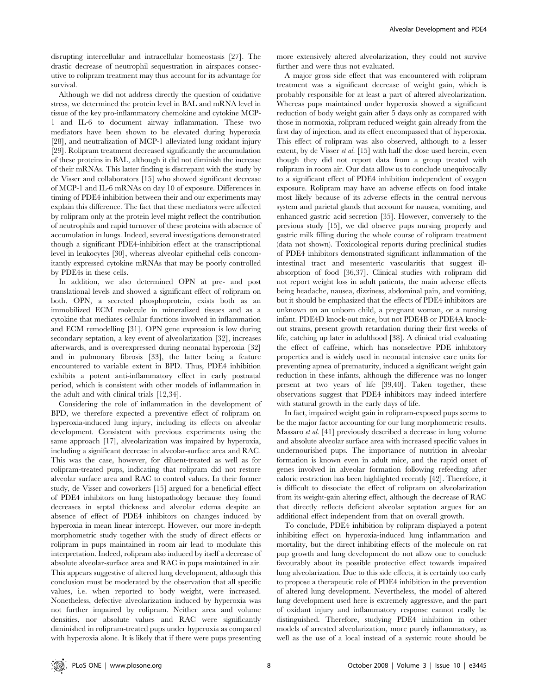disrupting intercellular and intracellular homeostasis [27]. The drastic decrease of neutrophil sequestration in airspaces consecutive to rolipram treatment may thus account for its advantage for survival.

Although we did not address directly the question of oxidative stress, we determined the protein level in BAL and mRNA level in tissue of the key pro-inflammatory chemokine and cytokine MCP-1 and IL-6 to document airway inflammation. These two mediators have been shown to be elevated during hyperoxia [28], and neutralization of MCP-1 alleviated lung oxidant injury [29]. Rolipram treatment decreased significantly the accumulation of these proteins in BAL, although it did not diminish the increase of their mRNAs. This latter finding is discrepant with the study by de Visser and collaborators [15] who showed significant decrease of MCP-1 and IL-6 mRNAs on day 10 of exposure. Differences in timing of PDE4 inhibition between their and our experiments may explain this difference. The fact that these mediators were affected by rolipram only at the protein level might reflect the contribution of neutrophils and rapid turnover of these proteins with absence of accumulation in lungs. Indeed, several investigations demonstrated though a significant PDE4-inhibition effect at the transcriptional level in leukocytes [30], whereas alveolar epithelial cells concomitantly expressed cytokine mRNAs that may be poorly controlled by PDE4s in these cells.

In addition, we also determined OPN at pre- and post translational levels and showed a significant effect of rolipram on both. OPN, a secreted phosphoprotein, exists both as an immobilized ECM molecule in mineralized tissues and as a cytokine that mediates cellular functions involved in inflammation and ECM remodelling [31]. OPN gene expression is low during secondary septation, a key event of alveolarization [32], increases afterwards, and is overexpressed during neonatal hyperoxia [32] and in pulmonary fibrosis [33], the latter being a feature encountered to variable extent in BPD. Thus, PDE4 inhibition exhibits a potent anti-inflammatory effect in early postnatal period, which is consistent with other models of inflammation in the adult and with clinical trials [12,34].

Considering the role of inflammation in the development of BPD, we therefore expected a preventive effect of rolipram on hyperoxia-induced lung injury, including its effects on alveolar development. Consistent with previous experiments using the same approach [17], alveolarization was impaired by hyperoxia, including a significant decrease in alveolar-surface area and RAC. This was the case, however, for diluent-treated as well as for rolipram-treated pups, indicating that rolipram did not restore alveolar surface area and RAC to control values. In their former study, de Visser and coworkers [15] argued for a beneficial effect of PDE4 inhibitors on lung histopathology because they found decreases in septal thickness and alveolar edema despite an absence of effect of PDE4 inhibitors on changes induced by hyperoxia in mean linear intercept. However, our more in-depth morphometric study together with the study of direct effects or rolipram in pups maintained in room air lead to modulate this interpretation. Indeed, rolipram also induced by itself a decrease of absolute alveolar-surface area and RAC in pups maintained in air. This appears suggestive of altered lung development, although this conclusion must be moderated by the observation that all specific values, i.e. when reported to body weight, were increased. Nonetheless, defective alveolarization induced by hyperoxia was not further impaired by rolipram. Neither area and volume densities, nor absolute values and RAC were significantly diminished in rolipram-treated pups under hyperoxia as compared with hyperoxia alone. It is likely that if there were pups presenting more extensively altered alveolarization, they could not survive further and were thus not evaluated.

A major gross side effect that was encountered with rolipram treatment was a significant decrease of weight gain, which is probably responsible for at least a part of altered alveolarization. Whereas pups maintained under hyperoxia showed a significant reduction of body weight gain after 5 days only as compared with those in normoxia, rolipram reduced weight gain already from the first day of injection, and its effect encompassed that of hyperoxia. This effect of rolipram was also observed, although to a lesser extent, by de Visser *et al.* [15] with half the dose used herein, even though they did not report data from a group treated with rolipram in room air. Our data allow us to conclude unequivocally to a significant effect of PDE4 inhibition independent of oxygen exposure. Rolipram may have an adverse effects on food intake most likely because of its adverse effects in the central nervous system and parietal glands that account for nausea, vomiting, and enhanced gastric acid secretion [35]. However, conversely to the previous study [15], we did observe pups nursing properly and gastric milk filling during the whole course of rolipram treatment (data not shown). Toxicological reports during preclinical studies of PDE4 inhibitors demonstrated significant inflammation of the intestinal tract and mesenteric vascularitis that suggest illabsorption of food [36,37]. Clinical studies with rolipram did not report weight loss in adult patients, the main adverse effects being headache, nausea, dizziness, abdominal pain, and vomiting, but it should be emphasized that the effects of PDE4 inhibitors are unknown on an unborn child, a pregnant woman, or a nursing infant. PDE4D knock-out mice, but not PDE4B or PDE4A knockout strains, present growth retardation during their first weeks of life, catching up later in adulthood [38]. A clinical trial evaluating the effect of caffeine, which has nonselective PDE inhibitory properties and is widely used in neonatal intensive care units for preventing apnea of prematurity, induced a significant weight gain reduction in these infants, although the difference was no longer present at two years of life [39,40]. Taken together, these observations suggest that PDE4 inhibitors may indeed interfere with statural growth in the early days of life.

In fact, impaired weight gain in rolipram-exposed pups seems to be the major factor accounting for our lung morphometric results. Massaro et al. [41] previously described a decrease in lung volume and absolute alveolar surface area with increased specific values in undernourished pups. The importance of nutrition in alveolar formation is known even in adult mice, and the rapid onset of genes involved in alveolar formation following refeeding after caloric restriction has been highlighted recently [42]. Therefore, it is difficult to dissociate the effect of rolipram on alveolarization from its weight-gain altering effect, although the decrease of RAC that directly reflects deficient alveolar septation argues for an additional effect independent from that on overall growth.

To conclude, PDE4 inhibition by rolipram displayed a potent inhibiting effect on hyperoxia-induced lung inflammation and mortality, but the direct inhibiting effects of the molecule on rat pup growth and lung development do not allow one to conclude favourably about its possible protective effect towards impaired lung alveolarization. Due to this side effects, it is certainly too early to propose a therapeutic role of PDE4 inhibition in the prevention of altered lung development. Nevertheless, the model of altered lung development used here is extremely aggressive, and the part of oxidant injury and inflammatory response cannot really be distinguished. Therefore, studying PDE4 inhibition in other models of arrested alveolarization, more purely inflammatory, as well as the use of a local instead of a systemic route should be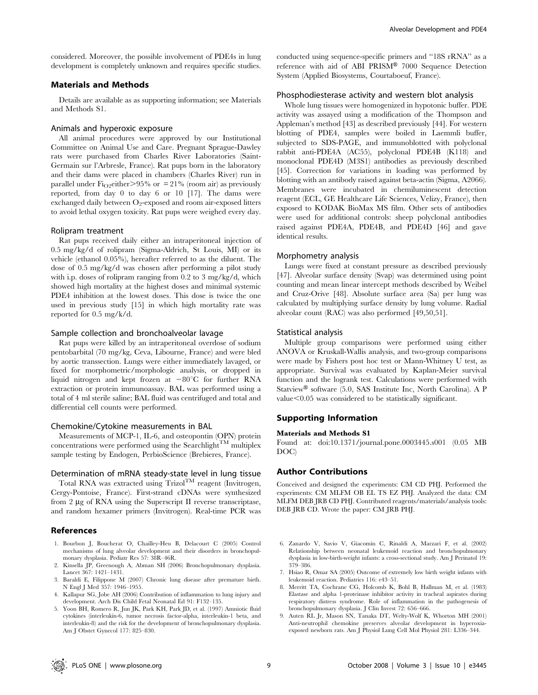considered. Moreover, the possible involvement of PDE4s in lung development is completely unknown and requires specific studies.

## Materials and Methods

Details are available as as supporting information; see Materials and Methods S1.

#### Animals and hyperoxic exposure

All animal procedures were approved by our Institutional Committee on Animal Use and Care. Pregnant Sprague-Dawley rats were purchased from Charles River Laboratories (Saint-Germain sur l'Arbresle, France). Rat pups born in the laboratory and their dams were placed in chambers (Charles River) run in parallel under  $Fi_{Q2}$ either $>95\%$  or  $= 21\%$  (room air) as previously reported, from day 0 to day 6 or 10 [17]. The dams were exchanged daily between  $O_2$ -exposed and room air-exposed litters to avoid lethal oxygen toxicity. Rat pups were weighed every day.

#### Rolipram treatment

Rat pups received daily either an intraperitoneal injection of 0.5 mg/kg/d of rolipram (Sigma-Aldrich, St Louis, MI) or its vehicle (ethanol 0.05%), hereafter referred to as the diluent. The dose of 0.5 mg/kg/d was chosen after performing a pilot study with i.p. doses of rolipram ranging from 0.2 to 3 mg/kg/d, which showed high mortality at the highest doses and minimal systemic PDE4 inhibition at the lowest doses. This dose is twice the one used in previous study [15] in which high mortality rate was reported for 0.5 mg/k/d.

#### Sample collection and bronchoalveolar lavage

Rat pups were killed by an intraperitoneal overdose of sodium pentobarbital (70 mg/kg, Ceva, Libourne, France) and were bled by aortic transsection. Lungs were either immediately lavaged, or fixed for morphometric/morphologic analysis, or dropped in liquid nitrogen and kept frozen at  $-80^{\circ}$ C for further RNA extraction or protein immunoassay. BAL was performed using a total of 4 ml sterile saline; BAL fluid was centrifuged and total and differential cell counts were performed.

### Chemokine/Cytokine measurements in BAL

Measurements of MCP-1, IL-6, and osteopontin (OPN) protein concentrations were performed using the Searchlight<sup>TM</sup> multiplex sample testing by Endogen, PerbioScience (Brebieres, France).

#### Determination of mRNA steady-state level in lung tissue

Total RNA was extracted using Trizol<sup>TM</sup> reagent (Invitrogen, Cergy-Pontoise, France). First-strand cDNAs were synthesized from 2  $\mu$ g of RNA using the Superscript II reverse transcriptase, and random hexamer primers (Invitrogen). Real-time PCR was

#### References

- 1. Bourbon J, Boucherat O, Chailley-Heu B, Delacourt C (2005) Control mechanisms of lung alveolar development and their disorders in bronchopulmonary dysplasia. Pediatr Res 57: 38R–46R.
- 2. Kinsella JP, Greenough A, Abman SH (2006) Bronchopulmonary dysplasia. Lancet 367: 1421–1431.
- 3. Baraldi E, Filippone M (2007) Chronic lung disease after premature birth. N Engl J Med 357: 1946–1955.
- 4. Kallapur SG, Jobe AH (2006) Contribution of inflammation to lung injury and development. Arch Dis Child Fetal Neonatal Ed 91: F132–135.
- 5. Yoon BH, Romero R, Jun JK, Park KH, Park JD, et al. (1997) Amniotic fluid cytokines (interleukin-6, tumor necrosis factor-alpha, interleukin-1 beta, and interleukin-8) and the risk for the development of bronchopulmonary dysplasia. Am J Obstet Gynecol 177: 825–830.

conducted using sequence-specific primers and ''18S rRNA'' as a reference with aid of ABI PRISM® 7000 Sequence Detection System (Applied Biosystems, Courtaboeuf, France).

## Phosphodiesterase activity and western blot analysis

Whole lung tissues were homogenized in hypotonic buffer. PDE activity was assayed using a modification of the Thompson and Appleman's method [43] as described previously [44]. For western blotting of PDE4, samples were boiled in Laemmli buffer, subjected to SDS-PAGE, and immunoblotted with polyclonal rabbit anti-PDE4A (AC55), polyclonal PDE4B (K118) and monoclonal PDE4D (M3S1) antibodies as previously described [45]. Correction for variations in loading was performed by blotting with an antibody raised against beta-actin (Sigma, A2066). Membranes were incubated in chemiluminescent detection reagent (ECL, GE Healthcare Life Sciences, Velizy, France), then exposed to KODAK BioMax MS film. Other sets of antibodies were used for additional controls: sheep polyclonal antibodies raised against PDE4A, PDE4B, and PDE4D [46] and gave identical results.

#### Morphometry analysis

Lungs were fixed at constant pressure as described previously [47]. Alveolar surface density (Svap) was determined using point counting and mean linear intercept methods described by Weibel and Cruz-Orive [48]. Absolute surface area (Sa) per lung was calculated by multiplying surface density by lung volume. Radial alveolar count (RAC) was also performed [49,50,51].

#### Statistical analysis

Multiple group comparisons were performed using either ANOVA or Kruskall-Wallis analysis, and two-group comparisons were made by Fishers post hoc test or Mann-Whitney U test, as appropriate. Survival was evaluated by Kaplan-Meier survival function and the logrank test. Calculations were performed with Statview<sup>®</sup> software (5.0, SAS Institute Inc, North Carolina). A P  $value<0.05$  was considered to be statistically significant.

#### Supporting Information

#### Materials and Methods S1

Found at: doi:10.1371/journal.pone.0003445.s001 (0.05 MB DOC)

#### Author Contributions

Conceived and designed the experiments: CM CD PHJ. Performed the experiments: CM MLFM OB EL TS EZ PHJ. Analyzed the data: CM MLFM DEB JRB CD PHJ. Contributed reagents/materials/analysis tools: DEB JRB CD. Wrote the paper: CM JRB PHJ.

- 6. Zanardo V, Savio V, Giacomin C, Rinaldi A, Marzari F, et al. (2002) Relationship between neonatal leukemoid reaction and bronchopulmonary dysplasia in low-birth-weight infants: a cross-sectional study. Am J Perinatol 19: 379–386.
- 7. Hsiao R, Omar SA (2005) Outcome of extremely low birth weight infants with leukemoid reaction. Pediatrics 116: e43–51.
- 8. Merritt TA, Cochrane CG, Holcomb K, Bohl B, Hallman M, et al. (1983) Elastase and alpha 1-proteinase inhibitor activity in tracheal aspirates during respiratory distress syndrome. Role of inflammation in the pathogenesis of bronchopulmonary dysplasia. J Clin Invest 72: 656–666.
- 9. Auten RL Jr, Mason SN, Tanaka DT, Welty-Wolf K, Whorton MH (2001) Anti-neutrophil chemokine preserves alveolar development in hyperoxiaexposed newborn rats. Am J Physiol Lung Cell Mol Physiol 281: L336–344.